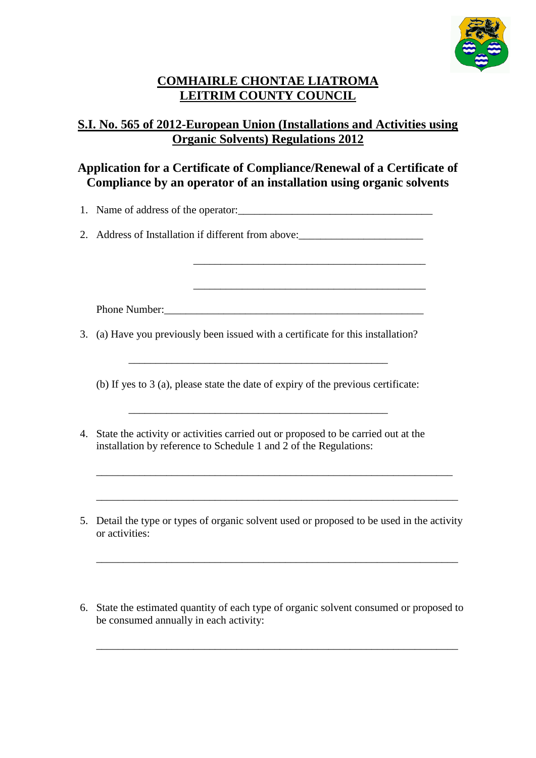

## **COMHAIRLE CHONTAE LIATROMA LEITRIM COUNTY COUNCIL**

## **S.I. No. 565 of 2012-European Union (Installations and Activities using Organic Solvents) Regulations 2012**

## **Application for a Certificate of Compliance/Renewal of a Certificate of Compliance by an operator of an installation using organic solvents**

\_\_\_\_\_\_\_\_\_\_\_\_\_\_\_\_\_\_\_\_\_\_\_\_\_\_\_\_\_\_\_\_\_\_\_\_\_\_\_\_\_\_\_

\_\_\_\_\_\_\_\_\_\_\_\_\_\_\_\_\_\_\_\_\_\_\_\_\_\_\_\_\_\_\_\_\_\_\_\_\_\_\_\_\_\_\_

1. Name of address of the operator:

2. Address of Installation if different from above:\_\_\_\_\_\_\_\_\_\_\_\_\_\_\_\_\_\_\_\_\_\_\_\_\_\_\_\_\_

Phone Number:

3. (a) Have you previously been issued with a certificate for this installation?

\_\_\_\_\_\_\_\_\_\_\_\_\_\_\_\_\_\_\_\_\_\_\_\_\_\_\_\_\_\_\_\_\_\_\_\_\_\_\_\_\_\_\_\_\_\_\_\_

(b) If yes to 3 (a), please state the date of expiry of the previous certificate:

\_\_\_\_\_\_\_\_\_\_\_\_\_\_\_\_\_\_\_\_\_\_\_\_\_\_\_\_\_\_\_\_\_\_\_\_\_\_\_\_\_\_\_\_\_\_\_\_

- 4. State the activity or activities carried out or proposed to be carried out at the installation by reference to Schedule 1 and 2 of the Regulations:
- 5. Detail the type or types of organic solvent used or proposed to be used in the activity or activities:

\_\_\_\_\_\_\_\_\_\_\_\_\_\_\_\_\_\_\_\_\_\_\_\_\_\_\_\_\_\_\_\_\_\_\_\_\_\_\_\_\_\_\_\_\_\_\_\_\_\_\_\_\_\_\_\_\_\_\_\_\_\_\_\_\_\_\_

\_\_\_\_\_\_\_\_\_\_\_\_\_\_\_\_\_\_\_\_\_\_\_\_\_\_\_\_\_\_\_\_\_\_\_\_\_\_\_\_\_\_\_\_\_\_\_\_\_\_\_\_\_\_\_\_\_\_\_\_\_\_\_\_\_\_

\_\_\_\_\_\_\_\_\_\_\_\_\_\_\_\_\_\_\_\_\_\_\_\_\_\_\_\_\_\_\_\_\_\_\_\_\_\_\_\_\_\_\_\_\_\_\_\_\_\_\_\_\_\_\_\_\_\_\_\_\_\_\_\_\_\_\_

6. State the estimated quantity of each type of organic solvent consumed or proposed to be consumed annually in each activity:

\_\_\_\_\_\_\_\_\_\_\_\_\_\_\_\_\_\_\_\_\_\_\_\_\_\_\_\_\_\_\_\_\_\_\_\_\_\_\_\_\_\_\_\_\_\_\_\_\_\_\_\_\_\_\_\_\_\_\_\_\_\_\_\_\_\_\_